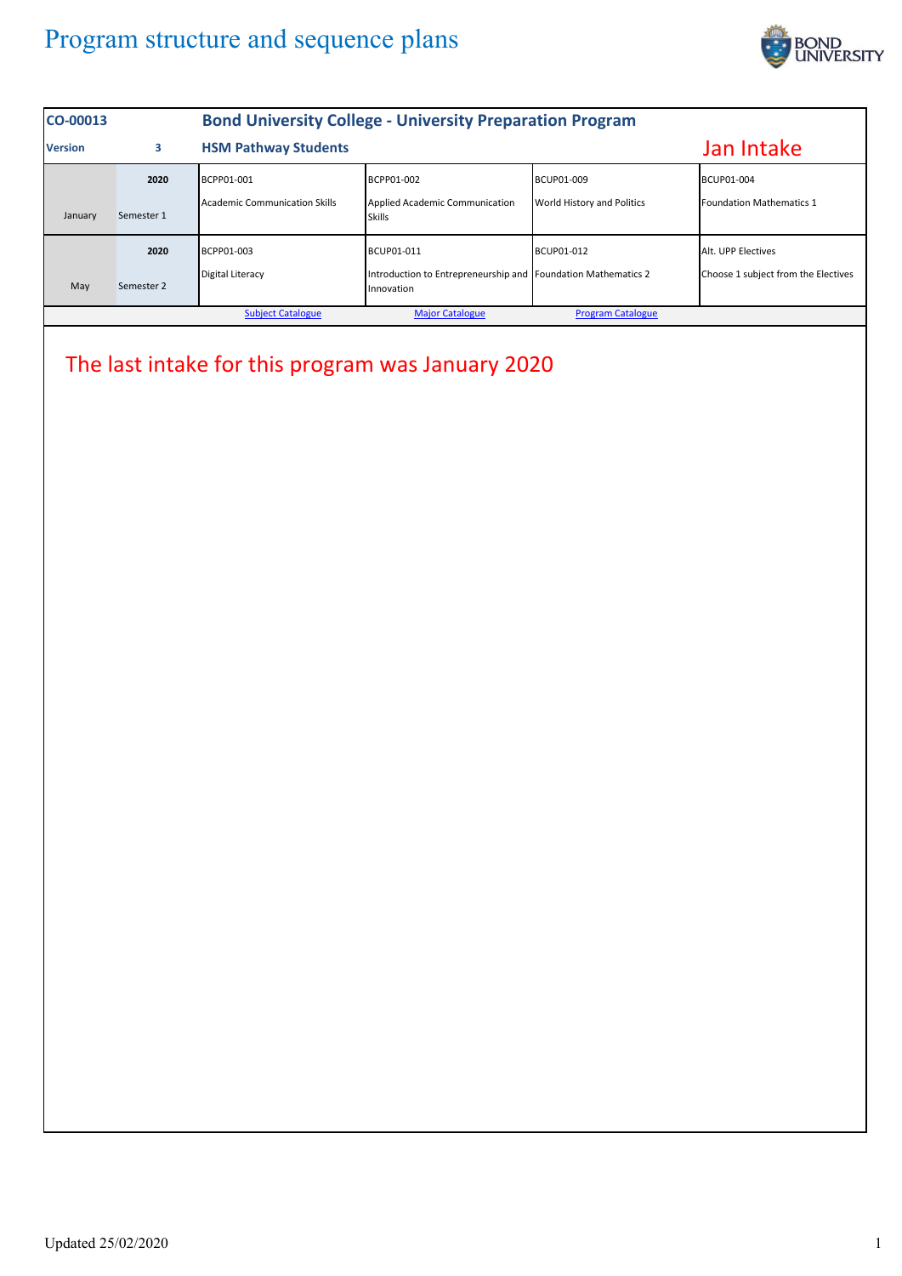## Program structure and sequence plans



| CO-00013       |            |                                      |                                                                             |                            |                                     |  |
|----------------|------------|--------------------------------------|-----------------------------------------------------------------------------|----------------------------|-------------------------------------|--|
| <b>Version</b> | 3          | <b>HSM Pathway Students</b>          |                                                                             |                            | Jan Intake                          |  |
|                | 2020       | BCPP01-001                           | BCPP01-002                                                                  | BCUP01-009                 | <b>BCUP01-004</b>                   |  |
| January        | Semester 1 | <b>Academic Communication Skills</b> | Applied Academic Communication<br><b>Skills</b>                             | World History and Politics | Foundation Mathematics 1            |  |
|                | 2020       | BCPP01-003                           | BCUP01-011                                                                  | BCUP01-012                 | Alt. UPP Electives                  |  |
| May            | Semester 2 | <b>Digital Literacy</b>              | Introduction to Entrepreneurship and Foundation Mathematics 2<br>Innovation |                            | Choose 1 subject from the Electives |  |
|                |            | <b>Subject Catalogue</b>             | <b>Major Catalogue</b>                                                      | <b>Program Catalogue</b>   |                                     |  |
|                |            |                                      |                                                                             |                            |                                     |  |
|                |            |                                      |                                                                             |                            |                                     |  |
|                |            |                                      |                                                                             |                            |                                     |  |